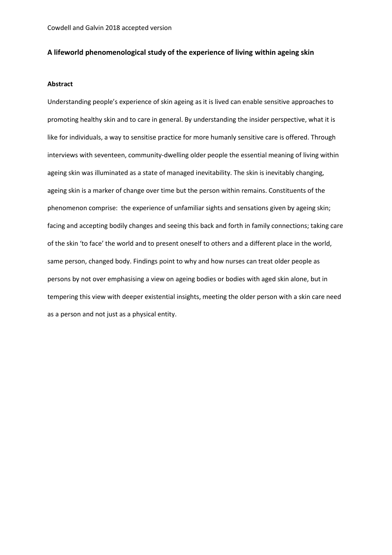# **A lifeworld phenomenological study of the experience of living within ageing skin**

# **Abstract**

Understanding people's experience of skin ageing as it is lived can enable sensitive approaches to promoting healthy skin and to care in general. By understanding the insider perspective, what it is like for individuals, a way to sensitise practice for more humanly sensitive care is offered. Through interviews with seventeen, community-dwelling older people the essential meaning of living within ageing skin was illuminated as a state of managed inevitability. The skin is inevitably changing, ageing skin is a marker of change over time but the person within remains. Constituents of the phenomenon comprise: the experience of unfamiliar sights and sensations given by ageing skin; facing and accepting bodily changes and seeing this back and forth in family connections; taking care of the skin 'to face' the world and to present oneself to others and a different place in the world, same person, changed body. Findings point to why and how nurses can treat older people as persons by not over emphasising a view on ageing bodies or bodies with aged skin alone, but in tempering this view with deeper existential insights, meeting the older person with a skin care need as a person and not just as a physical entity.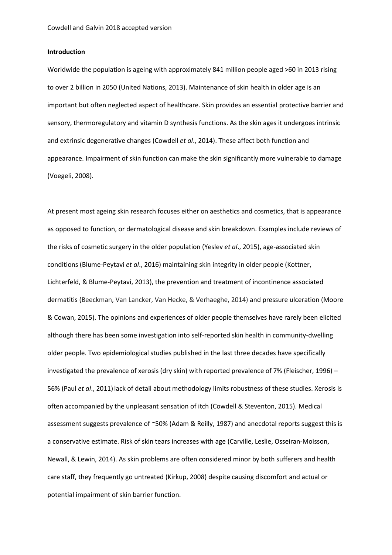# **Introduction**

Worldwide the population is ageing with approximately 841 million people aged >60 in 2013 rising to over 2 billion in 2050 (United Nations, 2013). Maintenance of skin health in older age is an important but often neglected aspect of healthcare. Skin provides an essential protective barrier and sensory, thermoregulatory and vitamin D synthesis functions. As the skin ages it undergoes intrinsic and extrinsic degenerative changes (Cowdell *et al*., 2014). These affect both function and appearance. Impairment of skin function can make the skin significantly more vulnerable to damage (Voegeli, 2008).

At present most ageing skin research focuses either on aesthetics and cosmetics, that is appearance as opposed to function, or dermatological disease and skin breakdown. Examples include reviews of the risks of cosmetic surgery in the older population (Yeslev *et al*., 2015), age-associated skin conditions (Blume-Peytavi *et al*., 2016) maintaining skin integrity in older people (Kottner, Lichterfeld, & Blume-Peytavi, 2013), the prevention and treatment of incontinence associated dermatitis (Beeckman, Van Lancker, Van Hecke, & Verhaeghe, 2014) and pressure ulceration (Moore & Cowan, 2015). The opinions and experiences of older people themselves have rarely been elicited although there has been some investigation into self-reported skin health in community-dwelling older people. Two epidemiological studies published in the last three decades have specifically investigated the prevalence of xerosis (dry skin) with reported prevalence of 7% (Fleischer, 1996) – 56% (Paul *et al*., 2011)lack of detail about methodology limits robustness of these studies. Xerosis is often accompanied by the unpleasant sensation of itch (Cowdell & Steventon, 2015). Medical assessment suggests prevalence of ~50% (Adam & Reilly, 1987) and anecdotal reports suggest this is a conservative estimate. Risk of skin tears increases with age (Carville, Leslie, Osseiran-Moisson, Newall, & Lewin, 2014). As skin problems are often considered minor by both sufferers and health care staff, they frequently go untreated (Kirkup, 2008) despite causing discomfort and actual or potential impairment of skin barrier function.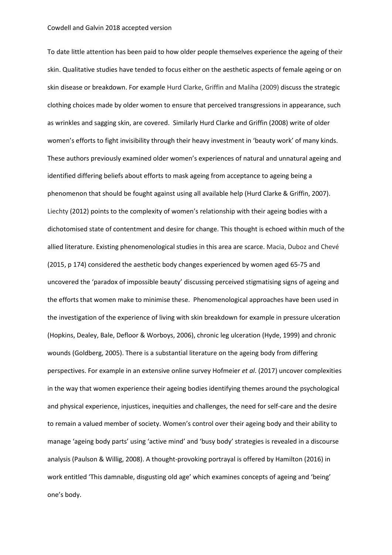To date little attention has been paid to how older people themselves experience the ageing of their skin. Qualitative studies have tended to focus either on the aesthetic aspects of female ageing or on skin disease or breakdown. For example Hurd Clarke, Griffin and Maliha (2009) discuss the strategic clothing choices made by older women to ensure that perceived transgressions in appearance, such as wrinkles and sagging skin, are covered. Similarly Hurd Clarke and Griffin (2008) write of older women's efforts to fight invisibility through their heavy investment in 'beauty work' of many kinds. These authors previously examined older women's experiences of natural and unnatural ageing and identified differing beliefs about efforts to mask ageing from acceptance to ageing being a phenomenon that should be fought against using all available help (Hurd Clarke & Griffin, 2007). Liechty (2012) points to the complexity of women's relationship with their ageing bodies with a dichotomised state of contentment and desire for change. This thought is echoed within much of the allied literature. Existing phenomenological studies in this area are scarce. Macia, Duboz and Chevé (2015, p 174) considered the aesthetic body changes experienced by women aged 65-75 and uncovered the 'paradox of impossible beauty' discussing perceived stigmatising signs of ageing and the efforts that women make to minimise these. Phenomenological approaches have been used in the investigation of the experience of living with skin breakdown for example in pressure ulceration (Hopkins, Dealey, Bale, Defloor & Worboys, 2006), chronic leg ulceration (Hyde, 1999) and chronic wounds (Goldberg, 2005). There is a substantial literature on the ageing body from differing perspectives. For example in an extensive online survey Hofmeier *et al*. (2017) uncover complexities in the way that women experience their ageing bodies identifying themes around the psychological and physical experience, injustices, inequities and challenges, the need for self-care and the desire to remain a valued member of society. Women's control over their ageing body and their ability to manage 'ageing body parts' using 'active mind' and 'busy body' strategies is revealed in a discourse analysis (Paulson & Willig, 2008). A thought-provoking portrayal is offered by Hamilton (2016) in work entitled 'This damnable, disgusting old age' which examines concepts of ageing and 'being' one's body.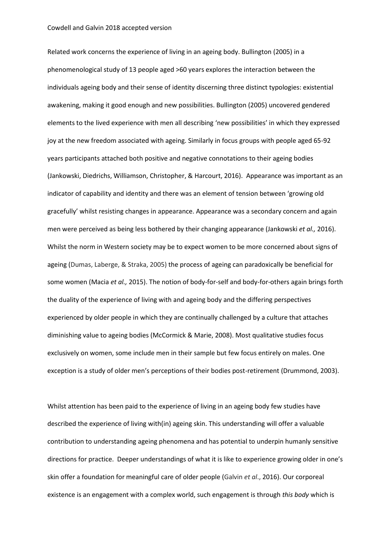Related work concerns the experience of living in an ageing body. Bullington (2005) in a phenomenological study of 13 people aged >60 years explores the interaction between the individuals ageing body and their sense of identity discerning three distinct typologies: existential awakening, making it good enough and new possibilities. Bullington (2005) uncovered gendered elements to the lived experience with men all describing 'new possibilities' in which they expressed joy at the new freedom associated with ageing. Similarly in focus groups with people aged 65-92 years participants attached both positive and negative connotations to their ageing bodies (Jankowski, Diedrichs, Williamson, Christopher, & Harcourt, 2016). Appearance was important as an indicator of capability and identity and there was an element of tension between 'growing old gracefully' whilst resisting changes in appearance. Appearance was a secondary concern and again men were perceived as being less bothered by their changing appearance (Jankowski *et al.,* 2016). Whilst the norm in Western society may be to expect women to be more concerned about signs of ageing (Dumas, Laberge, & Straka, 2005) the process of ageing can paradoxically be beneficial for some women (Macia *et al.,* 2015). The notion of body-for-self and body-for-others again brings forth the duality of the experience of living with and ageing body and the differing perspectives experienced by older people in which they are continually challenged by a culture that attaches diminishing value to ageing bodies (McCormick & Marie, 2008). Most qualitative studies focus exclusively on women, some include men in their sample but few focus entirely on males. One exception is a study of older men's perceptions of their bodies post-retirement (Drummond, 2003).

Whilst attention has been paid to the experience of living in an ageing body few studies have described the experience of living with(in) ageing skin. This understanding will offer a valuable contribution to understanding ageing phenomena and has potential to underpin humanly sensitive directions for practice. Deeper understandings of what it is like to experience growing older in one's skin offer a foundation for meaningful care of older people (Galvin *et al*., 2016). Our corporeal existence is an engagement with a complex world, such engagement is through *this body* which is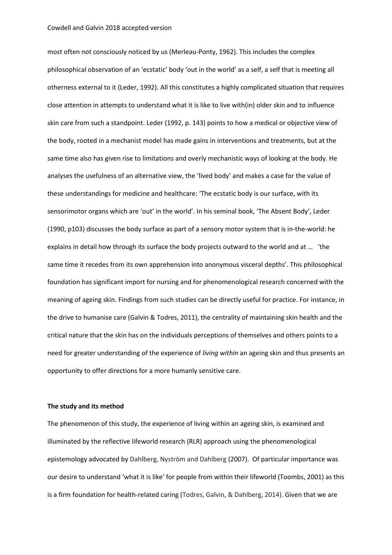most often not consciously noticed by us (Merleau-Ponty, 1962). This includes the complex philosophical observation of an 'ecstatic' body 'out in the world' as a self, a self that is meeting all otherness external to it (Leder, 1992). All this constitutes a highly complicated situation that requires close attention in attempts to understand what it is like to live with(in) older skin and to influence skin care from such a standpoint. Leder (1992, p. 143) points to how a medical or objective view of the body, rooted in a mechanist model has made gains in interventions and treatments, but at the same time also has given rise to limitations and overly mechanistic ways of looking at the body. He analyses the usefulness of an alternative view, the 'lived body' and makes a case for the value of these understandings for medicine and healthcare: 'The ecstatic body is our surface, with its sensorimotor organs which are 'out' in the world'. In his seminal book, 'The Absent Body', Leder (1990, p103) discusses the body surface as part of a sensory motor system that is in-the-world: he explains in detail how through its surface the body projects outward to the world and at … 'the same time it recedes from its own apprehension into anonymous visceral depths'. This philosophical foundation has significant import for nursing and for phenomenological research concerned with the meaning of ageing skin. Findings from such studies can be directly useful for practice. For instance, in the drive to humanise care (Galvin & Todres, 2011), the centrality of maintaining skin health and the critical nature that the skin has on the individuals perceptions of themselves and others points to a need for greater understanding of the experience of *living within* an ageing skin and thus presents an opportunity to offer directions for a more humanly sensitive care.

# **The study and its method**

The phenomenon of this study, the experience of living within an ageing skin, is examined and illuminated by the reflective lifeworld research (RLR) approach using the phenomenological epistemology advocated by Dahlberg, Nyström and Dahlberg (2007). Of particular importance was our desire to understand 'what it is like' for people from within their lifeworld (Toombs, 2001) as this is a firm foundation for health-related caring (Todres, Galvin, & Dahlberg, 2014). Given that we are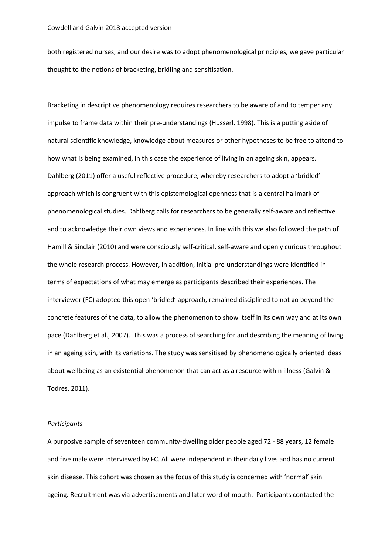both registered nurses, and our desire was to adopt phenomenological principles, we gave particular thought to the notions of bracketing, bridling and sensitisation.

Bracketing in descriptive phenomenology requires researchers to be aware of and to temper any impulse to frame data within their pre-understandings (Husserl, 1998). This is a putting aside of natural scientific knowledge, knowledge about measures or other hypotheses to be free to attend to how what is being examined, in this case the experience of living in an ageing skin, appears. Dahlberg (2011) offer a useful reflective procedure, whereby researchers to adopt a 'bridled' approach which is congruent with this epistemological openness that is a central hallmark of phenomenological studies. Dahlberg calls for researchers to be generally self-aware and reflective and to acknowledge their own views and experiences. In line with this we also followed the path of Hamill & Sinclair (2010) and were consciously self-critical, self-aware and openly curious throughout the whole research process. However, in addition, initial pre-understandings were identified in terms of expectations of what may emerge as participants described their experiences. The interviewer (FC) adopted this open 'bridled' approach, remained disciplined to not go beyond the concrete features of the data, to allow the phenomenon to show itself in its own way and at its own pace (Dahlberg et al., 2007). This was a process of searching for and describing the meaning of living in an ageing skin, with its variations. The study was sensitised by phenomenologically oriented ideas about wellbeing as an existential phenomenon that can act as a resource within illness (Galvin & Todres, 2011).

# *Participants*

A purposive sample of seventeen community-dwelling older people aged 72 - 88 years, 12 female and five male were interviewed by FC. All were independent in their daily lives and has no current skin disease. This cohort was chosen as the focus of this study is concerned with 'normal' skin ageing. Recruitment was via advertisements and later word of mouth. Participants contacted the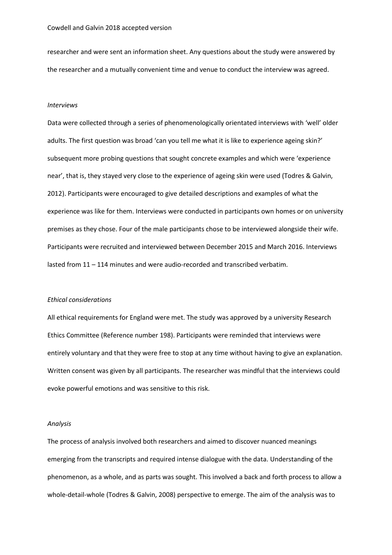researcher and were sent an information sheet. Any questions about the study were answered by the researcher and a mutually convenient time and venue to conduct the interview was agreed.

#### *Interviews*

Data were collected through a series of phenomenologically orientated interviews with 'well' older adults. The first question was broad 'can you tell me what it is like to experience ageing skin?' subsequent more probing questions that sought concrete examples and which were 'experience near', that is, they stayed very close to the experience of ageing skin were used (Todres & Galvin, 2012). Participants were encouraged to give detailed descriptions and examples of what the experience was like for them. Interviews were conducted in participants own homes or on university premises as they chose. Four of the male participants chose to be interviewed alongside their wife. Participants were recruited and interviewed between December 2015 and March 2016. Interviews lasted from 11 – 114 minutes and were audio-recorded and transcribed verbatim.

# *Ethical considerations*

All ethical requirements for England were met. The study was approved by a university Research Ethics Committee (Reference number 198). Participants were reminded that interviews were entirely voluntary and that they were free to stop at any time without having to give an explanation. Written consent was given by all participants. The researcher was mindful that the interviews could evoke powerful emotions and was sensitive to this risk.

## *Analysis*

The process of analysis involved both researchers and aimed to discover nuanced meanings emerging from the transcripts and required intense dialogue with the data. Understanding of the phenomenon, as a whole, and as parts was sought. This involved a back and forth process to allow a whole-detail-whole (Todres & Galvin, 2008) perspective to emerge. The aim of the analysis was to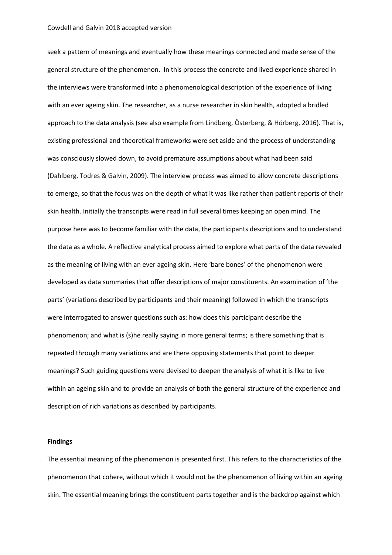seek a pattern of meanings and eventually how these meanings connected and made sense of the general structure of the phenomenon. In this process the concrete and lived experience shared in the interviews were transformed into a phenomenological description of the experience of living with an ever ageing skin. The researcher, as a nurse researcher in skin health, adopted a bridled approach to the data analysis (see also example from Lindberg, Österberg, & Hörberg, 2016). That is, existing professional and theoretical frameworks were set aside and the process of understanding was consciously slowed down, to avoid premature assumptions about what had been said (Dahlberg, Todres & Galvin, 2009). The interview process was aimed to allow concrete descriptions to emerge, so that the focus was on the depth of what it was like rather than patient reports of their skin health. Initially the transcripts were read in full several times keeping an open mind. The purpose here was to become familiar with the data, the participants descriptions and to understand the data as a whole. A reflective analytical process aimed to explore what parts of the data revealed as the meaning of living with an ever ageing skin. Here 'bare bones' of the phenomenon were developed as data summaries that offer descriptions of major constituents. An examination of 'the parts' (variations described by participants and their meaning) followed in which the transcripts were interrogated to answer questions such as: how does this participant describe the phenomenon; and what is (s)he really saying in more general terms; is there something that is repeated through many variations and are there opposing statements that point to deeper meanings? Such guiding questions were devised to deepen the analysis of what it is like to live within an ageing skin and to provide an analysis of both the general structure of the experience and description of rich variations as described by participants.

#### **Findings**

The essential meaning of the phenomenon is presented first. This refers to the characteristics of the phenomenon that cohere, without which it would not be the phenomenon of living within an ageing skin. The essential meaning brings the constituent parts together and is the backdrop against which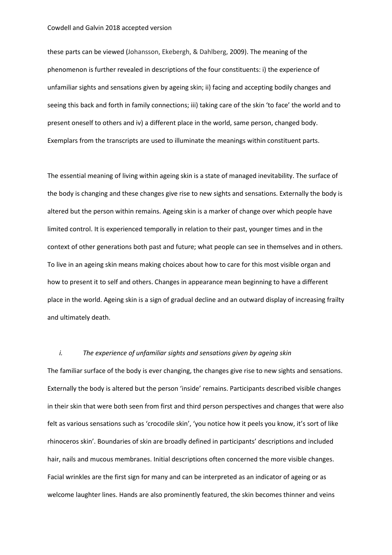these parts can be viewed (Johansson, Ekebergh, & Dahlberg, 2009). The meaning of the phenomenon is further revealed in descriptions of the four constituents: i) the experience of unfamiliar sights and sensations given by ageing skin; ii) facing and accepting bodily changes and seeing this back and forth in family connections; iii) taking care of the skin 'to face' the world and to present oneself to others and iv) a different place in the world, same person, changed body. Exemplars from the transcripts are used to illuminate the meanings within constituent parts.

The essential meaning of living within ageing skin is a state of managed inevitability. The surface of the body is changing and these changes give rise to new sights and sensations. Externally the body is altered but the person within remains. Ageing skin is a marker of change over which people have limited control. It is experienced temporally in relation to their past, younger times and in the context of other generations both past and future; what people can see in themselves and in others. To live in an ageing skin means making choices about how to care for this most visible organ and how to present it to self and others. Changes in appearance mean beginning to have a different place in the world. Ageing skin is a sign of gradual decline and an outward display of increasing frailty and ultimately death.

# *i. The experience of unfamiliar sights and sensations given by ageing skin*

The familiar surface of the body is ever changing, the changes give rise to new sights and sensations. Externally the body is altered but the person 'inside' remains. Participants described visible changes in their skin that were both seen from first and third person perspectives and changes that were also felt as various sensations such as 'crocodile skin', 'you notice how it peels you know, it's sort of like rhinoceros skin'. Boundaries of skin are broadly defined in participants' descriptions and included hair, nails and mucous membranes. Initial descriptions often concerned the more visible changes. Facial wrinkles are the first sign for many and can be interpreted as an indicator of ageing or as welcome laughter lines. Hands are also prominently featured, the skin becomes thinner and veins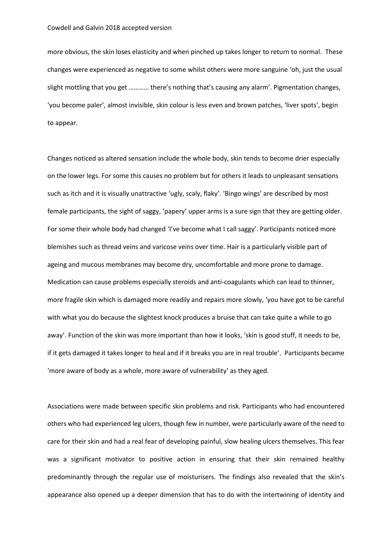more obvious, the skin loses elasticity and when pinched up takes longer to return to normal. These changes were experienced as negative to some whilst others were more sanguine 'oh, just the usual slight mottling that you get ………… there's nothing that's causing any alarm'. Pigmentation changes, 'you become paler', almost invisible, skin colour is less even and brown patches, 'liver spots', begin to appear.

Changes noticed as altered sensation include the whole body, skin tends to become drier especially on the lower legs. For some this causes no problem but for others it leads to unpleasant sensations such as itch and it is visually unattractive 'ugly, scaly, flaky'. 'Bingo wings' are described by most female participants, the sight of saggy, 'papery' upper arms is a sure sign that they are getting older. For some their whole body had changed 'I've become what I call saggy'. Participants noticed more blemishes such as thread veins and varicose veins over time. Hair is a particularly visible part of ageing and mucous membranes may become dry, uncomfortable and more prone to damage. Medication can cause problems especially steroids and anti-coagulants which can lead to thinner, more fragile skin which is damaged more readily and repairs more slowly, 'you have got to be careful with what you do because the slightest knock produces a bruise that can take quite a while to go away'. Function of the skin was more important than how it looks, 'skin is good stuff, it needs to be, if it gets damaged it takes longer to heal and if it breaks you are in real trouble'. Participants became 'more aware of body as a whole, more aware of vulnerability' as they aged.

Associations were made between specific skin problems and risk. Participants who had encountered others who had experienced leg ulcers, though few in number, were particularly aware of the need to care for their skin and had a real fear of developing painful, slow healing ulcers themselves. This fear was a significant motivator to positive action in ensuring that their skin remained healthy predominantly through the regular use of moisturisers. The findings also revealed that the skin's appearance also opened up a deeper dimension that has to do with the intertwining of identity and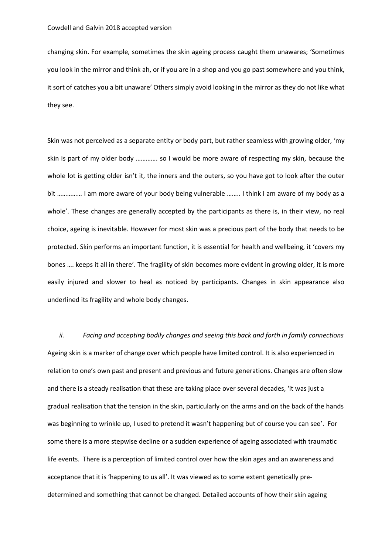changing skin. For example, sometimes the skin ageing process caught them unawares; 'Sometimes you look in the mirror and think ah, or if you are in a shop and you go past somewhere and you think, it sort of catches you a bit unaware' Others simply avoid looking in the mirror as they do not like what they see.

Skin was not perceived as a separate entity or body part, but rather seamless with growing older, 'my skin is part of my older body …………. so I would be more aware of respecting my skin, because the whole lot is getting older isn't it, the inners and the outers, so you have got to look after the outer bit …………… I am more aware of your body being vulnerable …….. I think I am aware of my body as a whole'. These changes are generally accepted by the participants as there is, in their view, no real choice, ageing is inevitable. However for most skin was a precious part of the body that needs to be protected. Skin performs an important function, it is essential for health and wellbeing, it 'covers my bones …. keeps it all in there'. The fragility of skin becomes more evident in growing older, it is more easily injured and slower to heal as noticed by participants. Changes in skin appearance also underlined its fragility and whole body changes.

*ii. Facing and accepting bodily changes and seeing this back and forth in family connections* Ageing skin is a marker of change over which people have limited control. It is also experienced in relation to one's own past and present and previous and future generations. Changes are often slow and there is a steady realisation that these are taking place over several decades, 'it was just a gradual realisation that the tension in the skin, particularly on the arms and on the back of the hands was beginning to wrinkle up, I used to pretend it wasn't happening but of course you can see'. For some there is a more stepwise decline or a sudden experience of ageing associated with traumatic life events. There is a perception of limited control over how the skin ages and an awareness and acceptance that it is 'happening to us all'. It was viewed as to some extent genetically predetermined and something that cannot be changed. Detailed accounts of how their skin ageing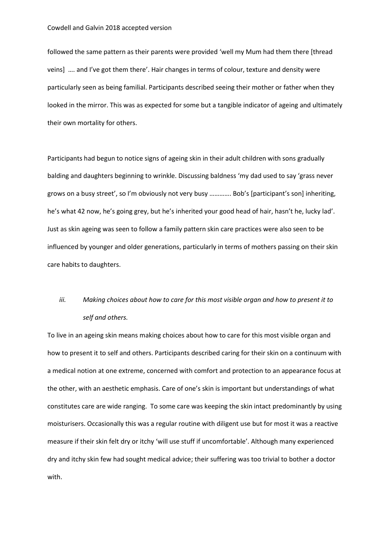followed the same pattern as their parents were provided 'well my Mum had them there [thread veins] …. and I've got them there'. Hair changes in terms of colour, texture and density were particularly seen as being familial. Participants described seeing their mother or father when they looked in the mirror. This was as expected for some but a tangible indicator of ageing and ultimately their own mortality for others.

Participants had begun to notice signs of ageing skin in their adult children with sons gradually balding and daughters beginning to wrinkle. Discussing baldness 'my dad used to say 'grass never grows on a busy street', so I'm obviously not very busy …………. Bob's [participant's son] inheriting, he's what 42 now, he's going grey, but he's inherited your good head of hair, hasn't he, lucky lad'. Just as skin ageing was seen to follow a family pattern skin care practices were also seen to be influenced by younger and older generations, particularly in terms of mothers passing on their skin care habits to daughters.

# *iii. Making choices about how to care for this most visible organ and how to present it to self and others.*

To live in an ageing skin means making choices about how to care for this most visible organ and how to present it to self and others. Participants described caring for their skin on a continuum with a medical notion at one extreme, concerned with comfort and protection to an appearance focus at the other, with an aesthetic emphasis. Care of one's skin is important but understandings of what constitutes care are wide ranging. To some care was keeping the skin intact predominantly by using moisturisers. Occasionally this was a regular routine with diligent use but for most it was a reactive measure if their skin felt dry or itchy 'will use stuff if uncomfortable'. Although many experienced dry and itchy skin few had sought medical advice; their suffering was too trivial to bother a doctor with.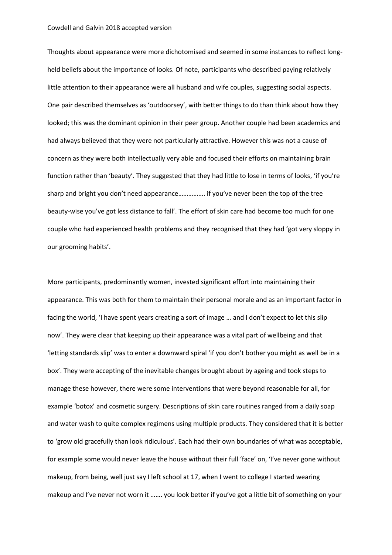Thoughts about appearance were more dichotomised and seemed in some instances to reflect longheld beliefs about the importance of looks. Of note, participants who described paying relatively little attention to their appearance were all husband and wife couples, suggesting social aspects. One pair described themselves as 'outdoorsey', with better things to do than think about how they looked; this was the dominant opinion in their peer group. Another couple had been academics and had always believed that they were not particularly attractive. However this was not a cause of concern as they were both intellectually very able and focused their efforts on maintaining brain function rather than 'beauty'. They suggested that they had little to lose in terms of looks, 'if you're sharp and bright you don't need appearance……………. if you've never been the top of the tree beauty-wise you've got less distance to fall'. The effort of skin care had become too much for one couple who had experienced health problems and they recognised that they had 'got very sloppy in our grooming habits'.

More participants, predominantly women, invested significant effort into maintaining their appearance. This was both for them to maintain their personal morale and as an important factor in facing the world, 'I have spent years creating a sort of image … and I don't expect to let this slip now'. They were clear that keeping up their appearance was a vital part of wellbeing and that 'letting standards slip' was to enter a downward spiral 'if you don't bother you might as well be in a box'. They were accepting of the inevitable changes brought about by ageing and took steps to manage these however, there were some interventions that were beyond reasonable for all, for example 'botox' and cosmetic surgery. Descriptions of skin care routines ranged from a daily soap and water wash to quite complex regimens using multiple products. They considered that it is better to 'grow old gracefully than look ridiculous'. Each had their own boundaries of what was acceptable, for example some would never leave the house without their full 'face' on, 'I've never gone without makeup, from being, well just say I left school at 17, when I went to college I started wearing makeup and I've never not worn it ……. you look better if you've got a little bit of something on your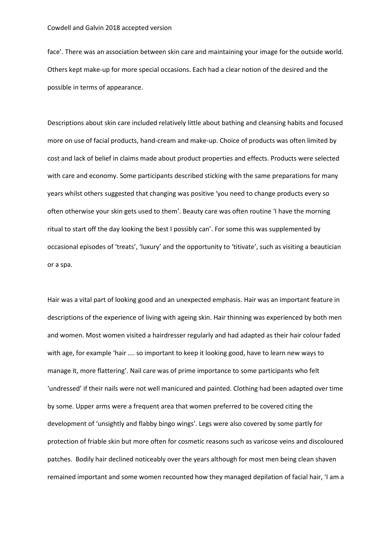face'. There was an association between skin care and maintaining your image for the outside world. Others kept make-up for more special occasions. Each had a clear notion of the desired and the possible in terms of appearance.

Descriptions about skin care included relatively little about bathing and cleansing habits and focused more on use of facial products, hand-cream and make-up. Choice of products was often limited by cost and lack of belief in claims made about product properties and effects. Products were selected with care and economy. Some participants described sticking with the same preparations for many years whilst others suggested that changing was positive 'you need to change products every so often otherwise your skin gets used to them'. Beauty care was often routine 'I have the morning ritual to start off the day looking the best I possibly can'. For some this was supplemented by occasional episodes of 'treats', 'luxury' and the opportunity to 'titivate', such as visiting a beautician or a spa.

Hair was a vital part of looking good and an unexpected emphasis. Hair was an important feature in descriptions of the experience of living with ageing skin. Hair thinning was experienced by both men and women. Most women visited a hairdresser regularly and had adapted as their hair colour faded with age, for example 'hair …. so important to keep it looking good, have to learn new ways to manage it, more flattering'. Nail care was of prime importance to some participants who felt 'undressed' if their nails were not well manicured and painted. Clothing had been adapted over time by some. Upper arms were a frequent area that women preferred to be covered citing the development of 'unsightly and flabby bingo wings'. Legs were also covered by some partly for protection of friable skin but more often for cosmetic reasons such as varicose veins and discoloured patches. Bodily hair declined noticeably over the years although for most men being clean shaven remained important and some women recounted how they managed depilation of facial hair, 'I am a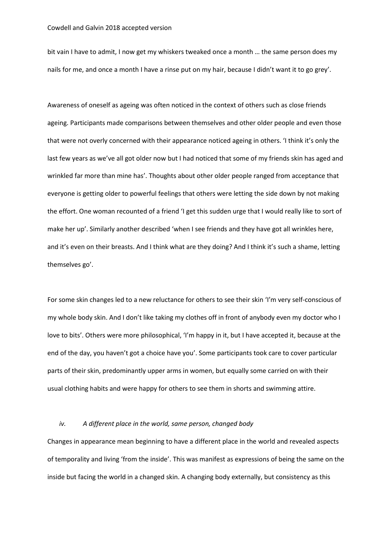bit vain I have to admit, I now get my whiskers tweaked once a month … the same person does my nails for me, and once a month I have a rinse put on my hair, because I didn't want it to go grey'.

Awareness of oneself as ageing was often noticed in the context of others such as close friends ageing. Participants made comparisons between themselves and other older people and even those that were not overly concerned with their appearance noticed ageing in others. 'I think it's only the last few years as we've all got older now but I had noticed that some of my friends skin has aged and wrinkled far more than mine has'. Thoughts about other older people ranged from acceptance that everyone is getting older to powerful feelings that others were letting the side down by not making the effort. One woman recounted of a friend 'I get this sudden urge that I would really like to sort of make her up'. Similarly another described 'when I see friends and they have got all wrinkles here, and it's even on their breasts. And I think what are they doing? And I think it's such a shame, letting themselves go'.

For some skin changes led to a new reluctance for others to see their skin 'I'm very self-conscious of my whole body skin. And I don't like taking my clothes off in front of anybody even my doctor who I love to bits'. Others were more philosophical, 'I'm happy in it, but I have accepted it, because at the end of the day, you haven't got a choice have you'. Some participants took care to cover particular parts of their skin, predominantly upper arms in women, but equally some carried on with their usual clothing habits and were happy for others to see them in shorts and swimming attire.

# *iv. A different place in the world, same person, changed body*

Changes in appearance mean beginning to have a different place in the world and revealed aspects of temporality and living 'from the inside'. This was manifest as expressions of being the same on the inside but facing the world in a changed skin. A changing body externally, but consistency as this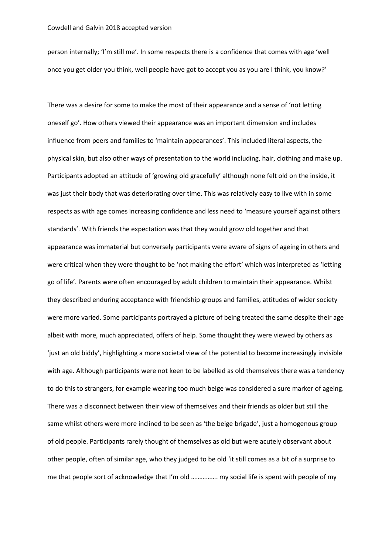person internally; 'I'm still me'. In some respects there is a confidence that comes with age 'well once you get older you think, well people have got to accept you as you are I think, you know?'

There was a desire for some to make the most of their appearance and a sense of 'not letting oneself go'. How others viewed their appearance was an important dimension and includes influence from peers and families to 'maintain appearances'. This included literal aspects, the physical skin, but also other ways of presentation to the world including, hair, clothing and make up. Participants adopted an attitude of 'growing old gracefully' although none felt old on the inside, it was just their body that was deteriorating over time. This was relatively easy to live with in some respects as with age comes increasing confidence and less need to 'measure yourself against others standards'. With friends the expectation was that they would grow old together and that appearance was immaterial but conversely participants were aware of signs of ageing in others and were critical when they were thought to be 'not making the effort' which was interpreted as 'letting go of life'. Parents were often encouraged by adult children to maintain their appearance. Whilst they described enduring acceptance with friendship groups and families, attitudes of wider society were more varied. Some participants portrayed a picture of being treated the same despite their age albeit with more, much appreciated, offers of help. Some thought they were viewed by others as 'just an old biddy', highlighting a more societal view of the potential to become increasingly invisible with age. Although participants were not keen to be labelled as old themselves there was a tendency to do this to strangers, for example wearing too much beige was considered a sure marker of ageing. There was a disconnect between their view of themselves and their friends as older but still the same whilst others were more inclined to be seen as 'the beige brigade', just a homogenous group of old people. Participants rarely thought of themselves as old but were acutely observant about other people, often of similar age, who they judged to be old 'it still comes as a bit of a surprise to me that people sort of acknowledge that I'm old ……………. my social life is spent with people of my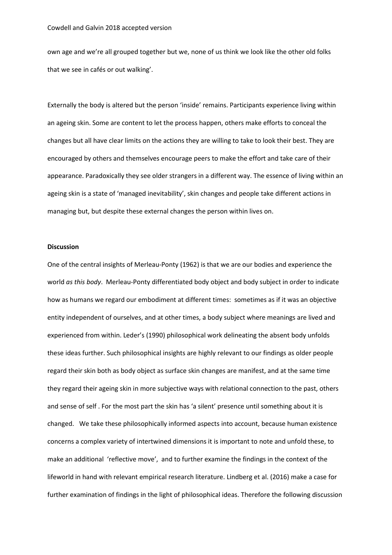own age and we're all grouped together but we, none of us think we look like the other old folks that we see in cafés or out walking'.

Externally the body is altered but the person 'inside' remains. Participants experience living within an ageing skin. Some are content to let the process happen, others make efforts to conceal the changes but all have clear limits on the actions they are willing to take to look their best. They are encouraged by others and themselves encourage peers to make the effort and take care of their appearance. Paradoxically they see older strangers in a different way. The essence of living within an ageing skin is a state of 'managed inevitability', skin changes and people take different actions in managing but, but despite these external changes the person within lives on.

# **Discussion**

One of the central insights of Merleau-Ponty (1962) is that we are our bodies and experience the world *as this body*. Merleau-Ponty differentiated body object and body subject in order to indicate how as humans we regard our embodiment at different times: sometimes as if it was an objective entity independent of ourselves, and at other times, a body subject where meanings are lived and experienced from within. Leder's (1990) philosophical work delineating the absent body unfolds these ideas further. Such philosophical insights are highly relevant to our findings as older people regard their skin both as body object as surface skin changes are manifest, and at the same time they regard their ageing skin in more subjective ways with relational connection to the past, others and sense of self . For the most part the skin has 'a silent' presence until something about it is changed. We take these philosophically informed aspects into account, because human existence concerns a complex variety of intertwined dimensions it is important to note and unfold these, to make an additional 'reflective move', and to further examine the findings in the context of the lifeworld in hand with relevant empirical research literature. Lindberg et al. (2016) make a case for further examination of findings in the light of philosophical ideas. Therefore the following discussion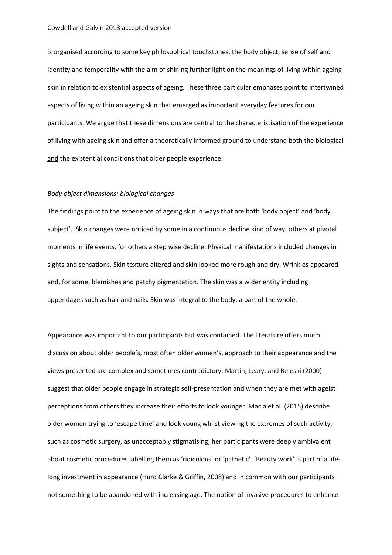is organised according to some key philosophical touchstones, the body object; sense of self and identity and temporality with the aim of shining further light on the meanings of living within ageing skin in relation to existential aspects of ageing. These three particular emphases point to intertwined aspects of living within an ageing skin that emerged as important everyday features for our participants. We argue that these dimensions are central to the characteristisation of the experience of living with ageing skin and offer a theoretically informed ground to understand both the biological and the existential conditions that older people experience.

## *Body object dimensions: biological changes*

The findings point to the experience of ageing skin in ways that are both 'body object' and 'body subject'. Skin changes were noticed by some in a continuous decline kind of way, others at pivotal moments in life events, for others a step wise decline. Physical manifestations included changes in sights and sensations. Skin texture altered and skin looked more rough and dry. Wrinkles appeared and, for some, blemishes and patchy pigmentation. The skin was a wider entity including appendages such as hair and nails. Skin was integral to the body, a part of the whole.

Appearance was important to our participants but was contained. The literature offers much discussion about older people's, most often older women's, approach to their appearance and the views presented are complex and sometimes contradictory. Martin, Leary, and Rejeski (2000) suggest that older people engage in strategic self-presentation and when they are met with ageist perceptions from others they increase their efforts to look younger. Macia et al. (2015) describe older women trying to 'escape time' and look young whilst viewing the extremes of such activity, such as cosmetic surgery, as unacceptably stigmatising; her participants were deeply ambivalent about cosmetic procedures labelling them as 'ridiculous' or 'pathetic'. 'Beauty work' is part of a lifelong investment in appearance (Hurd Clarke & Griffin, 2008) and in common with our participants not something to be abandoned with increasing age. The notion of invasive procedures to enhance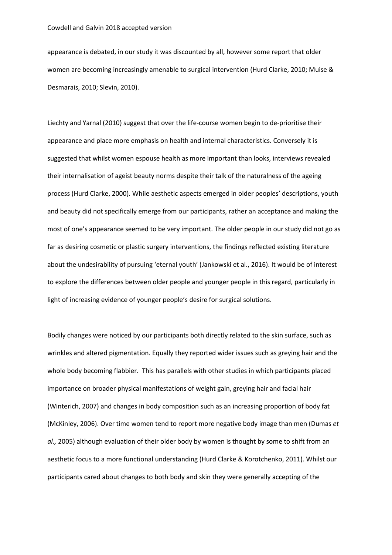appearance is debated, in our study it was discounted by all, however some report that older women are becoming increasingly amenable to surgical intervention (Hurd Clarke, 2010; Muise & Desmarais, 2010; Slevin, 2010).

Liechty and Yarnal (2010) suggest that over the life-course women begin to de-prioritise their appearance and place more emphasis on health and internal characteristics. Conversely it is suggested that whilst women espouse health as more important than looks, interviews revealed their internalisation of ageist beauty norms despite their talk of the naturalness of the ageing process (Hurd Clarke, 2000). While aesthetic aspects emerged in older peoples' descriptions, youth and beauty did not specifically emerge from our participants, rather an acceptance and making the most of one's appearance seemed to be very important. The older people in our study did not go as far as desiring cosmetic or plastic surgery interventions, the findings reflected existing literature about the undesirability of pursuing 'eternal youth' (Jankowski et al., 2016). It would be of interest to explore the differences between older people and younger people in this regard, particularly in light of increasing evidence of younger people's desire for surgical solutions.

Bodily changes were noticed by our participants both directly related to the skin surface, such as wrinkles and altered pigmentation. Equally they reported wider issues such as greying hair and the whole body becoming flabbier. This has parallels with other studies in which participants placed importance on broader physical manifestations of weight gain, greying hair and facial hair (Winterich, 2007) and changes in body composition such as an increasing proportion of body fat (McKinley, 2006). Over time women tend to report more negative body image than men (Dumas *et al.,* 2005) although evaluation of their older body by women is thought by some to shift from an aesthetic focus to a more functional understanding (Hurd Clarke & Korotchenko, 2011). Whilst our participants cared about changes to both body and skin they were generally accepting of the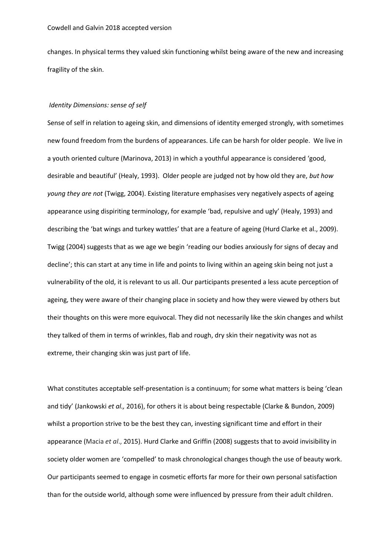changes. In physical terms they valued skin functioning whilst being aware of the new and increasing fragility of the skin.

# *Identity Dimensions: sense of self*

Sense of self in relation to ageing skin, and dimensions of identity emerged strongly, with sometimes new found freedom from the burdens of appearances. Life can be harsh for older people. We live in a youth oriented culture (Marinova, 2013) in which a youthful appearance is considered 'good, desirable and beautiful' (Healy, 1993). Older people are judged not by how old they are, *but how young they are not* (Twigg, 2004). Existing literature emphasises very negatively aspects of ageing appearance using dispiriting terminology, for example 'bad, repulsive and ugly' (Healy, 1993) and describing the 'bat wings and turkey wattles' that are a feature of ageing (Hurd Clarke et al., 2009). Twigg (2004) suggests that as we age we begin 'reading our bodies anxiously for signs of decay and decline'; this can start at any time in life and points to living within an ageing skin being not just a vulnerability of the old, it is relevant to us all. Our participants presented a less acute perception of ageing, they were aware of their changing place in society and how they were viewed by others but their thoughts on this were more equivocal. They did not necessarily like the skin changes and whilst they talked of them in terms of wrinkles, flab and rough, dry skin their negativity was not as extreme, their changing skin was just part of life.

What constitutes acceptable self-presentation is a continuum; for some what matters is being 'clean and tidy' (Jankowski *et al.,* 2016), for others it is about being respectable (Clarke & Bundon, 2009) whilst a proportion strive to be the best they can, investing significant time and effort in their appearance (Macia *et al*., 2015). Hurd Clarke and Griffin (2008) suggests that to avoid invisibility in society older women are 'compelled' to mask chronological changes though the use of beauty work. Our participants seemed to engage in cosmetic efforts far more for their own personal satisfaction than for the outside world, although some were influenced by pressure from their adult children.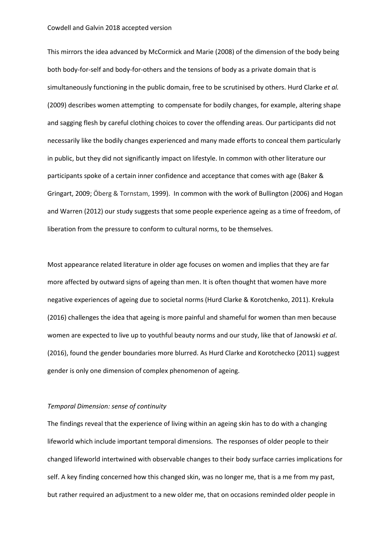This mirrors the idea advanced by McCormick and Marie (2008) of the dimension of the body being both body-for-self and body-for-others and the tensions of body as a private domain that is simultaneously functioning in the public domain, free to be scrutinised by others. Hurd Clarke *et al.*  (2009) describes women attempting to compensate for bodily changes, for example, altering shape and sagging flesh by careful clothing choices to cover the offending areas. Our participants did not necessarily like the bodily changes experienced and many made efforts to conceal them particularly in public, but they did not significantly impact on lifestyle. In common with other literature our participants spoke of a certain inner confidence and acceptance that comes with age (Baker & Gringart, 2009; Öberg & Tornstam, 1999). In common with the work of Bullington (2006) and Hogan and Warren (2012) our study suggests that some people experience ageing as a time of freedom, of liberation from the pressure to conform to cultural norms, to be themselves.

Most appearance related literature in older age focuses on women and implies that they are far more affected by outward signs of ageing than men. It is often thought that women have more negative experiences of ageing due to societal norms (Hurd Clarke & Korotchenko, 2011). Krekula (2016) challenges the idea that ageing is more painful and shameful for women than men because women are expected to live up to youthful beauty norms and our study, like that of Janowski *et al*. (2016), found the gender boundaries more blurred. As Hurd Clarke and Korotchecko (2011) suggest gender is only one dimension of complex phenomenon of ageing.

# *Temporal Dimension: sense of continuity*

The findings reveal that the experience of living within an ageing skin has to do with a changing lifeworld which include important temporal dimensions. The responses of older people to their changed lifeworld intertwined with observable changes to their body surface carries implications for self. A key finding concerned how this changed skin, was no longer me, that is a me from my past, but rather required an adjustment to a new older me, that on occasions reminded older people in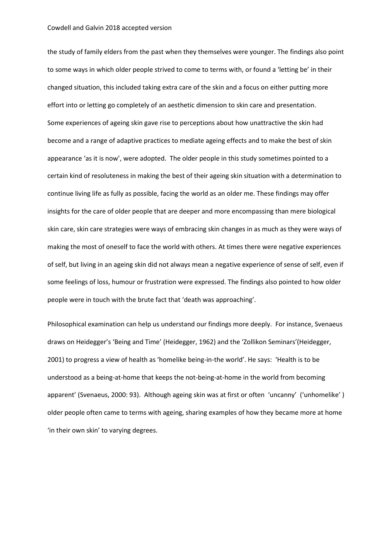the study of family elders from the past when they themselves were younger. The findings also point to some ways in which older people strived to come to terms with, or found a 'letting be' in their changed situation, this included taking extra care of the skin and a focus on either putting more effort into or letting go completely of an aesthetic dimension to skin care and presentation. Some experiences of ageing skin gave rise to perceptions about how unattractive the skin had become and a range of adaptive practices to mediate ageing effects and to make the best of skin appearance 'as it is now', were adopted. The older people in this study sometimes pointed to a certain kind of resoluteness in making the best of their ageing skin situation with a determination to continue living life as fully as possible, facing the world as an older me. These findings may offer insights for the care of older people that are deeper and more encompassing than mere biological skin care, skin care strategies were ways of embracing skin changes in as much as they were ways of making the most of oneself to face the world with others. At times there were negative experiences of self, but living in an ageing skin did not always mean a negative experience of sense of self, even if some feelings of loss, humour or frustration were expressed. The findings also pointed to how older people were in touch with the brute fact that 'death was approaching'.

Philosophical examination can help us understand our findings more deeply. For instance, Svenaeus draws on Heidegger's 'Being and Time' (Heidegger, 1962) and the 'Zollikon Seminars'(Heidegger, 2001) to progress a view of health as 'homelike being-in-the world'. He says: 'Health is to be understood as a being-at-home that keeps the not-being-at-home in the world from becoming apparent' (Svenaeus, 2000: 93). Although ageing skin was at first or often 'uncanny' ('unhomelike' ) older people often came to terms with ageing, sharing examples of how they became more at home 'in their own skin' to varying degrees.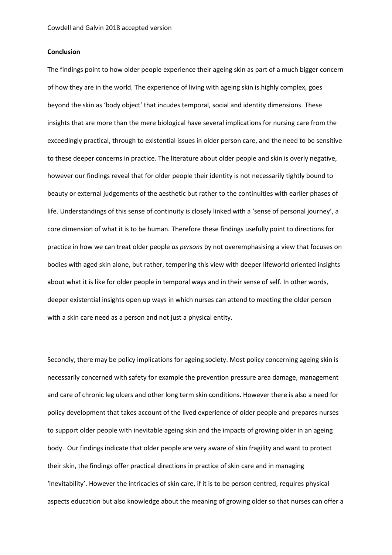# **Conclusion**

The findings point to how older people experience their ageing skin as part of a much bigger concern of how they are in the world. The experience of living with ageing skin is highly complex, goes beyond the skin as 'body object' that incudes temporal, social and identity dimensions. These insights that are more than the mere biological have several implications for nursing care from the exceedingly practical, through to existential issues in older person care, and the need to be sensitive to these deeper concerns in practice. The literature about older people and skin is overly negative, however our findings reveal that for older people their identity is not necessarily tightly bound to beauty or external judgements of the aesthetic but rather to the continuities with earlier phases of life. Understandings of this sense of continuity is closely linked with a 'sense of personal journey', a core dimension of what it is to be human. Therefore these findings usefully point to directions for practice in how we can treat older people *as persons* by not overemphasising a view that focuses on bodies with aged skin alone, but rather, tempering this view with deeper lifeworld oriented insights about what it is like for older people in temporal ways and in their sense of self. In other words, deeper existential insights open up ways in which nurses can attend to meeting the older person with a skin care need as a person and not just a physical entity.

Secondly, there may be policy implications for ageing society. Most policy concerning ageing skin is necessarily concerned with safety for example the prevention pressure area damage, management and care of chronic leg ulcers and other long term skin conditions. However there is also a need for policy development that takes account of the lived experience of older people and prepares nurses to support older people with inevitable ageing skin and the impacts of growing older in an ageing body. Our findings indicate that older people are very aware of skin fragility and want to protect their skin, the findings offer practical directions in practice of skin care and in managing 'inevitability'. However the intricacies of skin care, if it is to be person centred, requires physical aspects education but also knowledge about the meaning of growing older so that nurses can offer a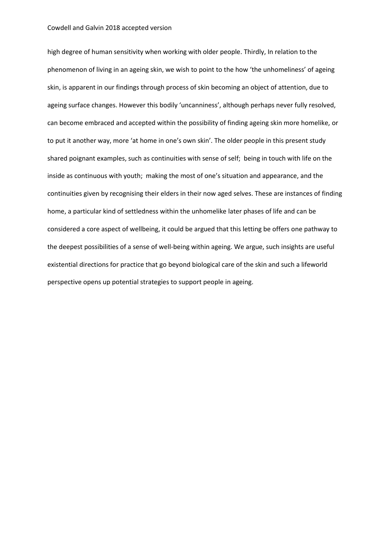high degree of human sensitivity when working with older people. Thirdly, In relation to the phenomenon of living in an ageing skin, we wish to point to the how 'the unhomeliness' of ageing skin, is apparent in our findings through process of skin becoming an object of attention, due to ageing surface changes. However this bodily 'uncanniness', although perhaps never fully resolved, can become embraced and accepted within the possibility of finding ageing skin more homelike, or to put it another way, more 'at home in one's own skin'. The older people in this present study shared poignant examples, such as continuities with sense of self; being in touch with life on the inside as continuous with youth; making the most of one's situation and appearance, and the continuities given by recognising their elders in their now aged selves. These are instances of finding home, a particular kind of settledness within the unhomelike later phases of life and can be considered a core aspect of wellbeing, it could be argued that this letting be offers one pathway to the deepest possibilities of a sense of well-being within ageing. We argue, such insights are useful existential directions for practice that go beyond biological care of the skin and such a lifeworld perspective opens up potential strategies to support people in ageing.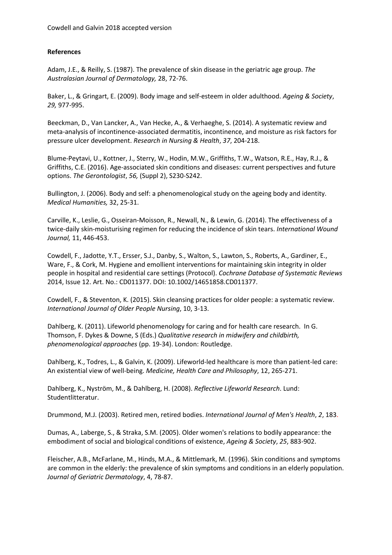# **References**

Adam, J.E., & Reilly, S. (1987). The prevalence of skin disease in the geriatric age group. *The Australasian Journal of Dermatology,* 28, 72-76.

Baker, L., & Gringart, E. (2009). Body image and self-esteem in older adulthood. *Ageing & Society*, *29,* 977-995.

Beeckman, D., Van Lancker, A., Van Hecke, A., & Verhaeghe, S. (2014). A systematic review and meta‐analysis of incontinence‐associated dermatitis, incontinence, and moisture as risk factors for pressure ulcer development. *Research in Nursing & Health*, *37*, 204-218.

Blume-Peytavi, U., Kottner, J., Sterry, W., Hodin, M.W., Griffiths, T.W., Watson, R.E., Hay, R.J., & Griffiths, C.E. (2016). Age-associated skin conditions and diseases: current perspectives and future options. *The Gerontologist*, *56,* (Suppl 2), S230-S242.

Bullington, J. (2006). Body and self: a phenomenological study on the ageing body and identity. *Medical Humanities,* 32, 25-31.

Carville, K., Leslie, G., Osseiran-Moisson, R., Newall, N., & Lewin, G. (2014). The effectiveness of a twice-daily skin-moisturising regimen for reducing the incidence of skin tears. *International Wound Journal,* 11, 446-453.

Cowdell, F., Jadotte, Y.T., Ersser, S.J., Danby, S., Walton, S., Lawton, S., Roberts, A., Gardiner, E., Ware, F., & Cork, M. Hygiene and emollient interventions for maintaining skin integrity in older people in hospital and residential care settings (Protocol). *Cochrane Database of Systematic Reviews* 2014, Issue 12. Art. No.: CD011377. DOI: 10.1002/14651858.CD011377.

Cowdell, F., & Steventon, K. (2015). Skin cleansing practices for older people: a systematic review. *International Journal of Older People Nursing*, 10, 3-13.

Dahlberg, K. (2011). Lifeworld phenomenology for caring and for health care research. In G. Thomson, F. Dykes & Downe, S (Eds.) *Qualitative research in midwifery and childbirth, phenomenological approaches* (pp. 19-34). London: Routledge.

Dahlberg, K., Todres, L., & Galvin, K. (2009). Lifeworld-led healthcare is more than patient-led care: An existential view of well-being. *Medicine, Health Care and Philosophy*, 12, 265-271.

Dahlberg, K., Nyström, M., & Dahlberg, H. (2008). *Reflective Lifeworld Research*. Lund: Studentlitteratur.

Drummond, M.J. (2003). Retired men, retired bodies. *International Journal of Men's Health*, *2*, 183.

Dumas, A., Laberge, S., & Straka, S.M. (2005). Older women's relations to bodily appearance: the embodiment of social and biological conditions of existence, *Ageing & Society*, *25*, 883-902.

Fleischer, A.B., McFarlane, M., Hinds, M.A., & Mittlemark, M. (1996). Skin conditions and symptoms are common in the elderly: the prevalence of skin symptoms and conditions in an elderly population. *Journal of Geriatric Dermatology*, 4, 78-87.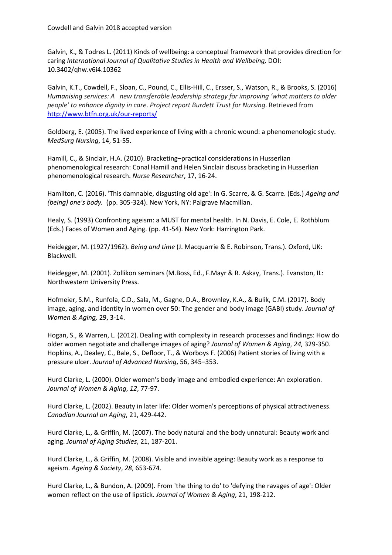Galvin, K., & Todres L. (2011) Kinds of wellbeing: a conceptual framework that provides direction for caring *International Journal of Qualitative Studies in Health and Wellbeing,* DOI: 10.3402/qhw.v6i4.10362

Galvin, K.T., Cowdell, F., Sloan, C., Pound, C., Ellis-Hill, C., Ersser, S., Watson, R., & Brooks, S. (2016) *Humanising services: A new transferable leadership strategy for improving 'what matters to older people' to enhance dignity in care*. *Project report Burdett Trust for Nursing*. Retrieved from <http://www.btfn.org.uk/our-reports/>

Goldberg, E. (2005). The lived experience of living with a chronic wound: a phenomenologic study. *MedSurg Nursing*, 14, 51-55.

Hamill, C., & Sinclair, H.A. (2010). Bracketing–practical considerations in Husserlian phenomenological research: Conal Hamill and Helen Sinclair discuss bracketing in Husserlian phenomenological research. *Nurse Researcher*, 17, 16-24.

Hamilton, C. (2016). 'This damnable, disgusting old age': In G. Scarre, & G. Scarre. (Eds.) *Ageing and (being) one's body.* (pp. 305-324). New York, NY: Palgrave Macmillan.

Healy, S. (1993) Confronting ageism: a MUST for mental health. In N. Davis, E. Cole, E. Rothblum (Eds.) Faces of Women and Aging. (pp. 41-54). New York: Harrington Park.

Heidegger, M. (1927/1962). *Being and time* (J. Macquarrie & E. Robinson, Trans.). Oxford, UK: Blackwell.

Heidegger, M. (2001). Zollikon seminars (M.Boss, Ed., F.Mayr & R. Askay, Trans.). Evanston, IL: Northwestern University Press.

Hofmeier, S.M., Runfola, C.D., Sala, M., Gagne, D.A., Brownley, K.A., & Bulik, C.M. (2017). Body image, aging, and identity in women over 50: The gender and body image (GABI) study. *Journal of Women & Aging,* 29, 3-14.

Hogan, S., & Warren, L. (2012). Dealing with complexity in research processes and findings: How do older women negotiate and challenge images of aging? *Journal of Women & Aging*, *24,* 329-350. Hopkins, A., Dealey, C., Bale, S., Defloor, T., & Worboys F. (2006) Patient stories of living with a pressure ulcer. *Journal of Advanced Nursing*, 56, 345–353.

Hurd Clarke, L. (2000). Older women's body image and embodied experience: An exploration. *Journal of Women & Aging*, *12*, 77-97.

Hurd Clarke, L. (2002). Beauty in later life: Older women's perceptions of physical attractiveness. *Canadian Journal on Aging*, 21, 429-442.

Hurd Clarke, L., & Griffin, M. (2007). The body natural and the body unnatural: Beauty work and aging. *Journal of Aging Studies*, 21, 187-201.

Hurd Clarke, L., & Griffin, M. (2008). Visible and invisible ageing: Beauty work as a response to ageism. *Ageing & Society*, *28*, 653-674.

Hurd Clarke, L., & Bundon, A. (2009). From 'the thing to do' to 'defying the ravages of age': Older women reflect on the use of lipstick. *Journal of Women & Aging*, 21, 198-212.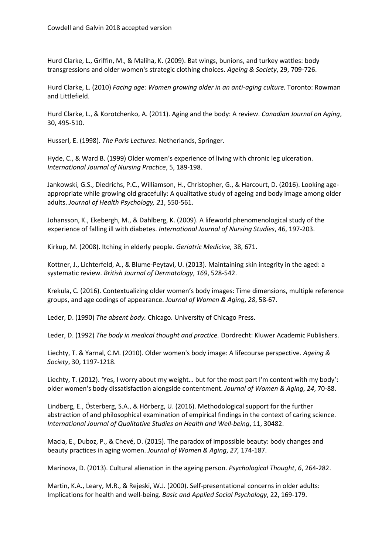Hurd Clarke, L., Griffin, M., & Maliha, K. (2009). Bat wings, bunions, and turkey wattles: body transgressions and older women's strategic clothing choices. *Ageing & Society*, 29, 709-726.

Hurd Clarke, L. (2010) *Facing age: Women growing older in an anti-aging culture.* Toronto: Rowman and Littlefield.

Hurd Clarke, L., & Korotchenko, A. (2011). Aging and the body: A review. *Canadian Journal on Aging*, 30, 495-510.

Husserl, E. (1998). *The Paris Lectures*. Netherlands, Springer.

Hyde, C., & Ward B. (1999) Older women's experience of living with chronic leg ulceration. *International Journal of Nursing Practice*, 5, 189-198.

Jankowski, G.S., Diedrichs, P.C., Williamson, H., Christopher, G., & Harcourt, D. (2016). Looking ageappropriate while growing old gracefully: A qualitative study of ageing and body image among older adults. *Journal of Health Psychology, 21*, 550-561.

Johansson, K., Ekebergh, M., & Dahlberg, K. (2009). A lifeworld phenomenological study of the experience of falling ill with diabetes. *International Journal of Nursing Studies*, 46, 197-203.

Kirkup, M. (2008). Itching in elderly people. *Geriatric Medicine,* 38, 671.

Kottner, J., Lichterfeld, A., & Blume‐Peytavi, U. (2013). Maintaining skin integrity in the aged: a systematic review. *British Journal of Dermatology*, *169*, 528-542.

Krekula, C. (2016). Contextualizing older women's body images: Time dimensions, multiple reference groups, and age codings of appearance. *Journal of Women & Aging*, *28*, 58-67.

Leder, D. (1990) *The absent body.* Chicago. University of Chicago Press.

Leder, D. (1992) *The body in medical thought and practice.* Dordrecht: Kluwer Academic Publishers.

Liechty, T. & Yarnal, C.M. (2010). Older women's body image: A lifecourse perspective. *Ageing & Society*, 30, 1197-1218.

Liechty, T. (2012). 'Yes, I worry about my weight… but for the most part I'm content with my body': older women's body dissatisfaction alongside contentment. *Journal of Women & Aging*, *24*, 70-88.

Lindberg, E., Österberg, S.A., & Hörberg, U. (2016). Methodological support for the further abstraction of and philosophical examination of empirical findings in the context of caring science. *International Journal of Qualitative Studies on Health and Well-being*, 11, 30482.

Macia, E., Duboz, P., & Chevé, D. (2015). The paradox of impossible beauty: body changes and beauty practices in aging women. *Journal of Women & Aging*, *27,* 174-187.

Marinova, D. (2013). Cultural alienation in the ageing person. *Psychological Thought*, *6*, 264-282.

Martin, K.A., Leary, M.R., & Rejeski, W.J. (2000). Self-presentational concerns in older adults: Implications for health and well-being. *Basic and Applied Social Psychology*, 22, 169-179.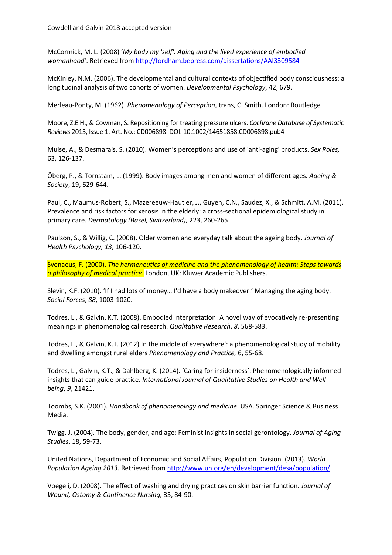McCormick, M. L. (2008) '*My body my 'self': Aging and the lived experience of embodied womanhood'*. Retrieved from<http://fordham.bepress.com/dissertations/AAI3309584>

McKinley, N.M. (2006). The developmental and cultural contexts of objectified body consciousness: a longitudinal analysis of two cohorts of women. *Developmental Psychology*, 42, 679.

Merleau-Ponty, M. (1962). *Phenomenology of Perception*, trans, C. Smith. London: Routledge

Moore, Z.E.H., & Cowman, S. Repositioning for treating pressure ulcers. *Cochrane Database of Systematic Reviews* 2015, Issue 1. Art. No.: CD006898. DOI: 10.1002/14651858.CD006898.pub4

Muise, A., & Desmarais, S. (2010). Women's perceptions and use of 'anti-aging' products. *Sex Roles,*  63, 126-137.

Öberg, P., & Tornstam, L. (1999). Body images among men and women of different ages. *Ageing & Society*, 19, 629-644.

Paul, C., Maumus-Robert, S., Mazereeuw-Hautier, J., Guyen, C.N., Saudez, X., & Schmitt, A.M. (2011). Prevalence and risk factors for xerosis in the elderly: a cross-sectional epidemiological study in primary care. *Dermatology (Basel, Switzerland),* 223, 260-265.

Paulson, S., & Willig, C. (2008). Older women and everyday talk about the ageing body. *Journal of Health Psychology, 13*, 106-120.

Svenaeus, F. (2000). *The hermeneutics of medicine and the phenomenology of health: Steps towards a philosophy of medical practice*. London, UK: Kluwer Academic Publishers.

Slevin, K.F. (2010). 'If I had lots of money… I'd have a body makeover:' Managing the aging body. *Social Forces*, *88*, 1003-1020.

Todres, L., & Galvin, K.T. (2008). Embodied interpretation: A novel way of evocatively re-presenting meanings in phenomenological research. *Qualitative Research*, *8*, 568-583.

Todres, L., & Galvin, K.T. (2012) In the middle of everywhere': a phenomenological study of mobility and dwelling amongst rural elders *Phenomenology and Practice,* 6, 55-68.

Todres, L., Galvin, K.T., & Dahlberg, K. (2014). 'Caring for insiderness': Phenomenologically informed insights that can guide practice. *International Journal of Qualitative Studies on Health and Wellbeing*, *9*, 21421.

Toombs, S.K. (2001). *Handbook of phenomenology and medicine*. USA. Springer Science & Business Media.

Twigg, J. (2004). The body, gender, and age: Feminist insights in social gerontology. *Journal of Aging Studies*, 18, 59-73.

United Nations, Department of Economic and Social Affairs, Population Division. (2013). *World Population Ageing 2013.* Retrieved from <http://www.un.org/en/development/desa/population/>

Voegeli, D. (2008). The effect of washing and drying practices on skin barrier function. *Journal of Wound, Ostomy & Continence Nursing,* 35, 84-90.